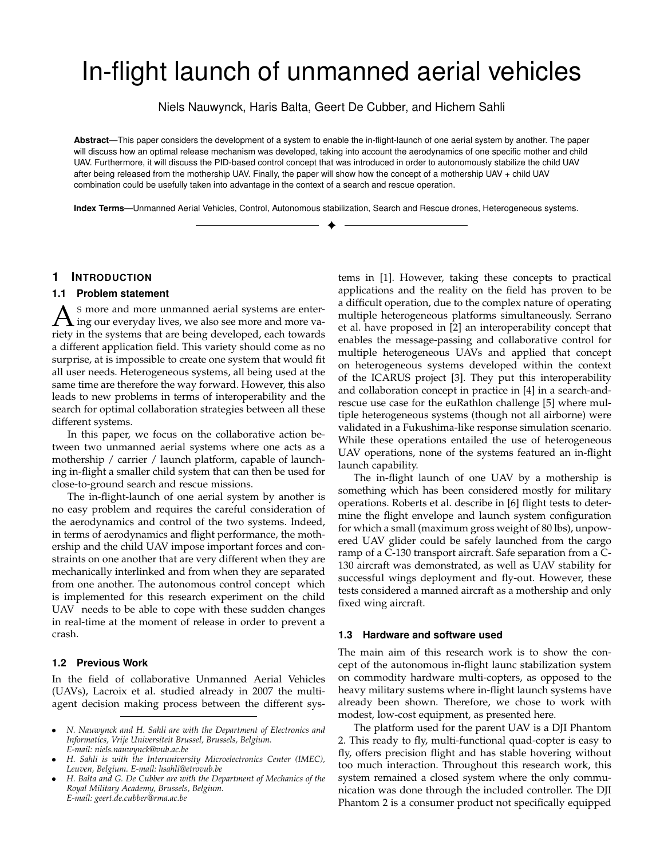# In-flight launch of unmanned aerial vehicles

Niels Nauwynck, Haris Balta, Geert De Cubber, and Hichem Sahli

**Abstract**—This paper considers the development of a system to enable the in-flight-launch of one aerial system by another. The paper will discuss how an optimal release mechanism was developed, taking into account the aerodynamics of one specific mother and child UAV. Furthermore, it will discuss the PID-based control concept that was introduced in order to autonomously stabilize the child UAV after being released from the mothership UAV. Finally, the paper will show how the concept of a mothership UAV + child UAV combination could be usefully taken into advantage in the context of a search and rescue operation.

**Index Terms**—Unmanned Aerial Vehicles, Control, Autonomous stabilization, Search and Rescue drones, Heterogeneous systems. ✦

## **1 INTRODUCTION**

#### **1.1 Problem statement**

A s more and more unmanned aerial systems are enter-<br>ing our everyday lives, we also see more and more va-<br>ingty in the systems that are being developed, each towards S more and more unmanned aerial systems are enterriety in the systems that are being developed, each towards a different application field. This variety should come as no surprise, at is impossible to create one system that would fit all user needs. Heterogeneous systems, all being used at the same time are therefore the way forward. However, this also leads to new problems in terms of interoperability and the search for optimal collaboration strategies between all these different systems.

In this paper, we focus on the collaborative action between two unmanned aerial systems where one acts as a mothership / carrier / launch platform, capable of launching in-flight a smaller child system that can then be used for close-to-ground search and rescue missions.

The in-flight-launch of one aerial system by another is no easy problem and requires the careful consideration of the aerodynamics and control of the two systems. Indeed, in terms of aerodynamics and flight performance, the mothership and the child UAV impose important forces and constraints on one another that are very different when they are mechanically interlinked and from when they are separated from one another. The autonomous control concept which is implemented for this research experiment on the child UAV needs to be able to cope with these sudden changes in real-time at the moment of release in order to prevent a crash.

#### **1.2 Previous Work**

In the field of collaborative Unmanned Aerial Vehicles (UAVs), Lacroix et al. studied already in 2007 the multiagent decision making process between the different systems in [1]. However, taking these concepts to practical applications and the reality on the field has proven to be a difficult operation, due to the complex nature of operating multiple heterogeneous platforms simultaneously. Serrano et al. have proposed in [2] an interoperability concept that enables the message-passing and collaborative control for multiple heterogeneous UAVs and applied that concept on heterogeneous systems developed within the context of the ICARUS project [3]. They put this interoperability and collaboration concept in practice in [4] in a search-andrescue use case for the euRathlon challenge [5] where multiple heterogeneous systems (though not all airborne) were validated in a Fukushima-like response simulation scenario. While these operations entailed the use of heterogeneous UAV operations, none of the systems featured an in-flight launch capability.

The in-flight launch of one UAV by a mothership is something which has been considered mostly for military operations. Roberts et al. describe in [6] flight tests to determine the flight envelope and launch system configuration for which a small (maximum gross weight of 80 lbs), unpowered UAV glider could be safely launched from the cargo ramp of a C-130 transport aircraft. Safe separation from a C-130 aircraft was demonstrated, as well as UAV stability for successful wings deployment and fly-out. However, these tests considered a manned aircraft as a mothership and only fixed wing aircraft.

#### **1.3 Hardware and software used**

The main aim of this research work is to show the concept of the autonomous in-flight launc stabilization system on commodity hardware multi-copters, as opposed to the heavy military sustems where in-flight launch systems have already been shown. Therefore, we chose to work with modest, low-cost equipment, as presented here.

The platform used for the parent UAV is a DJI Phantom 2. This ready to fly, multi-functional quad-copter is easy to fly, offers precision flight and has stable hovering without too much interaction. Throughout this research work, this system remained a closed system where the only communication was done through the included controller. The DJI Phantom 2 is a consumer product not specifically equipped

<sup>•</sup> *N. Nauwynck and H. Sahli are with the Department of Electronics and Informatics, Vrije Universiteit Brussel, Brussels, Belgium. E-mail: niels.nauwynck@vub.ac.be*

<sup>•</sup> *H. Sahli is with the Interuniversity Microelectronics Center (IMEC), Leuven, Belgium. E-mail: hsahli@etrovub.be*

<sup>•</sup> *H. Balta and G. De Cubber are with the Department of Mechanics of the Royal Military Academy, Brussels, Belgium. E-mail: geert.de.cubber@rma.ac.be*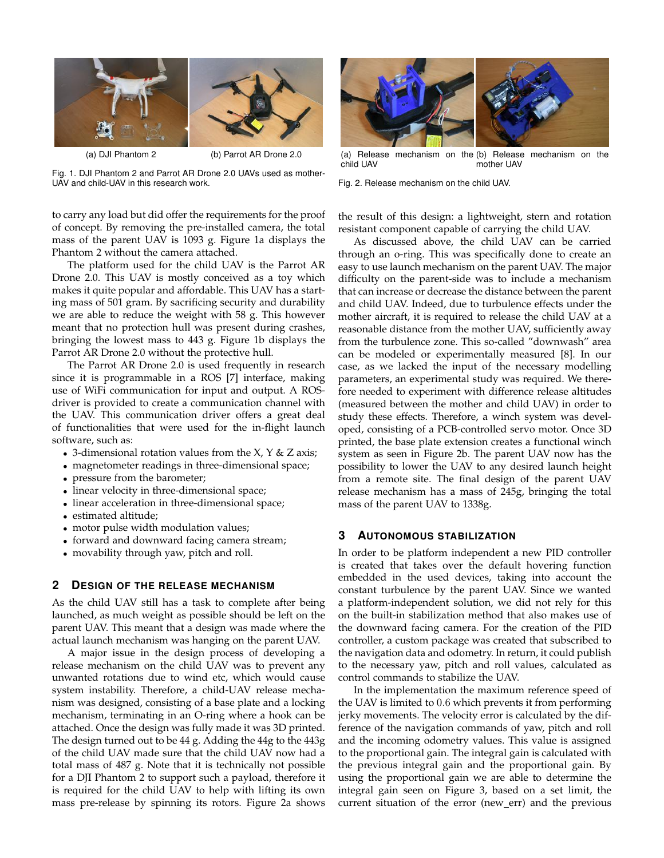

(a) DJI Phantom 2 (b) Parrot AR Drone 2.0

Fig. 1. DJI Phantom 2 and Parrot AR Drone 2.0 UAVs used as mother-UAV and child-UAV in this research work.

to carry any load but did offer the requirements for the proof of concept. By removing the pre-installed camera, the total mass of the parent UAV is 1093 g. Figure 1a displays the Phantom 2 without the camera attached.

The platform used for the child UAV is the Parrot AR Drone 2.0. This UAV is mostly conceived as a toy which makes it quite popular and affordable. This UAV has a starting mass of 501 gram. By sacrificing security and durability we are able to reduce the weight with 58 g. This however meant that no protection hull was present during crashes, bringing the lowest mass to 443 g. Figure 1b displays the Parrot AR Drone 2.0 without the protective hull.

The Parrot AR Drone 2.0 is used frequently in research since it is programmable in a ROS [7] interface, making use of WiFi communication for input and output. A ROSdriver is provided to create a communication channel with the UAV. This communication driver offers a great deal of functionalities that were used for the in-flight launch software, such as:

- 3-dimensional rotation values from the  $X$ ,  $Y$  &  $Z$  axis;
- magnetometer readings in three-dimensional space;
- pressure from the barometer;
- linear velocity in three-dimensional space;
- linear acceleration in three-dimensional space;
- estimated altitude;
- motor pulse width modulation values;
- forward and downward facing camera stream;
- movability through yaw, pitch and roll.

#### **2 DESIGN OF THE RELEASE MECHANISM**

As the child UAV still has a task to complete after being launched, as much weight as possible should be left on the parent UAV. This meant that a design was made where the actual launch mechanism was hanging on the parent UAV.

A major issue in the design process of developing a release mechanism on the child UAV was to prevent any unwanted rotations due to wind etc, which would cause system instability. Therefore, a child-UAV release mechanism was designed, consisting of a base plate and a locking mechanism, terminating in an O-ring where a hook can be attached. Once the design was fully made it was 3D printed. The design turned out to be 44 g. Adding the 44g to the 443g of the child UAV made sure that the child UAV now had a total mass of 487 g. Note that it is technically not possible for a DJI Phantom 2 to support such a payload, therefore it is required for the child UAV to help with lifting its own mass pre-release by spinning its rotors. Figure 2a shows



(a) Release mechanism on the (b) Release mechanism on the child UAV mother UAV

Fig. 2. Release mechanism on the child UAV.

the result of this design: a lightweight, stern and rotation resistant component capable of carrying the child UAV.

As discussed above, the child UAV can be carried through an o-ring. This was specifically done to create an easy to use launch mechanism on the parent UAV. The major difficulty on the parent-side was to include a mechanism that can increase or decrease the distance between the parent and child UAV. Indeed, due to turbulence effects under the mother aircraft, it is required to release the child UAV at a reasonable distance from the mother UAV, sufficiently away from the turbulence zone. This so-called "downwash" area can be modeled or experimentally measured [8]. In our case, as we lacked the input of the necessary modelling parameters, an experimental study was required. We therefore needed to experiment with difference release altitudes (measured between the mother and child UAV) in order to study these effects. Therefore, a winch system was developed, consisting of a PCB-controlled servo motor. Once 3D printed, the base plate extension creates a functional winch system as seen in Figure 2b. The parent UAV now has the possibility to lower the UAV to any desired launch height from a remote site. The final design of the parent UAV release mechanism has a mass of 245g, bringing the total mass of the parent UAV to 1338g.

# **3 AUTONOMOUS STABILIZATION**

In order to be platform independent a new PID controller is created that takes over the default hovering function embedded in the used devices, taking into account the constant turbulence by the parent UAV. Since we wanted a platform-independent solution, we did not rely for this on the built-in stabilization method that also makes use of the downward facing camera. For the creation of the PID controller, a custom package was created that subscribed to the navigation data and odometry. In return, it could publish to the necessary yaw, pitch and roll values, calculated as control commands to stabilize the UAV.

In the implementation the maximum reference speed of the UAV is limited to 0.6 which prevents it from performing jerky movements. The velocity error is calculated by the difference of the navigation commands of yaw, pitch and roll and the incoming odometry values. This value is assigned to the proportional gain. The integral gain is calculated with the previous integral gain and the proportional gain. By using the proportional gain we are able to determine the integral gain seen on Figure 3, based on a set limit, the current situation of the error (new\_err) and the previous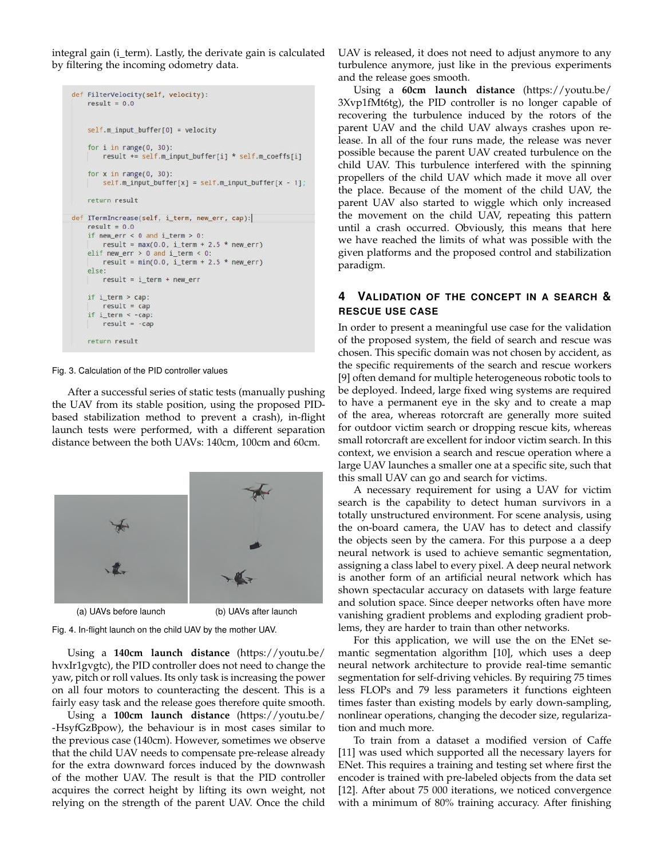integral gain (i\_term). Lastly, the derivate gain is calculated by filtering the incoming odometry data.

```
def FilterVelocity(self, velocity):
    result = 0.0self.m_input_buffer[0] = velocity
    for i in range(0, 30):
       result += self.m_input_buffer[i] * self.m_coeffs[i]
    for x in range(0, 30):
        self.m\_input_buffer[x] = self.m\_input_buffer[x - 1]return result
def ITermIncrease(self, i_term, new_err, cap):
    result = 0.0if new err < 0 and i term > 0:
       result = max(0.0, i_{\text{term}} + 2.5 * new_{\text{error}})elif new_err > 0 and i_term < 0:
       result = min(0.0, i_{term} + 2.5 * new_error)else:
        result = i_term + new_errorif i_term > cap:
        result = capif i_term < -cap:
        result = -capreturn result
```
Fig. 3. Calculation of the PID controller values

After a successful series of static tests (manually pushing the UAV from its stable position, using the proposed PIDbased stabilization method to prevent a crash), in-flight launch tests were performed, with a different separation distance between the both UAVs: 140cm, 100cm and 60cm.



(a) UAVs before launch (b) UAVs after launch

Fig. 4. In-flight launch on the child UAV by the mother UAV.

Using a **140cm launch distance** (https://youtu.be/ hvxIr1gvgtc), the PID controller does not need to change the yaw, pitch or roll values. Its only task is increasing the power on all four motors to counteracting the descent. This is a fairly easy task and the release goes therefore quite smooth.

Using a **100cm launch distance** (https://youtu.be/ -HsyfGzBpow), the behaviour is in most cases similar to the previous case (140cm). However, sometimes we observe that the child UAV needs to compensate pre-release already for the extra downward forces induced by the downwash of the mother UAV. The result is that the PID controller acquires the correct height by lifting its own weight, not relying on the strength of the parent UAV. Once the child

UAV is released, it does not need to adjust anymore to any turbulence anymore, just like in the previous experiments and the release goes smooth.

Using a **60cm launch distance** (https://youtu.be/ 3Xvp1fMt6tg), the PID controller is no longer capable of recovering the turbulence induced by the rotors of the parent UAV and the child UAV always crashes upon release. In all of the four runs made, the release was never possible because the parent UAV created turbulence on the child UAV. This turbulence interfered with the spinning propellers of the child UAV which made it move all over the place. Because of the moment of the child UAV, the parent UAV also started to wiggle which only increased the movement on the child UAV, repeating this pattern until a crash occurred. Obviously, this means that here we have reached the limits of what was possible with the given platforms and the proposed control and stabilization paradigm.

# **4 VALIDATION OF THE CONCEPT IN A SEARCH & RESCUE USE CASE**

In order to present a meaningful use case for the validation of the proposed system, the field of search and rescue was chosen. This specific domain was not chosen by accident, as the specific requirements of the search and rescue workers [9] often demand for multiple heterogeneous robotic tools to be deployed. Indeed, large fixed wing systems are required to have a permanent eye in the sky and to create a map of the area, whereas rotorcraft are generally more suited for outdoor victim search or dropping rescue kits, whereas small rotorcraft are excellent for indoor victim search. In this context, we envision a search and rescue operation where a large UAV launches a smaller one at a specific site, such that this small UAV can go and search for victims.

A necessary requirement for using a UAV for victim search is the capability to detect human survivors in a totally unstructured environment. For scene analysis, using the on-board camera, the UAV has to detect and classify the objects seen by the camera. For this purpose a a deep neural network is used to achieve semantic segmentation, assigning a class label to every pixel. A deep neural network is another form of an artificial neural network which has shown spectacular accuracy on datasets with large feature and solution space. Since deeper networks often have more vanishing gradient problems and exploding gradient problems, they are harder to train than other networks.

For this application, we will use the on the ENet semantic segmentation algorithm [10], which uses a deep neural network architecture to provide real-time semantic segmentation for self-driving vehicles. By requiring 75 times less FLOPs and 79 less parameters it functions eighteen times faster than existing models by early down-sampling, nonlinear operations, changing the decoder size, regularization and much more.

To train from a dataset a modified version of Caffe [11] was used which supported all the necessary layers for ENet. This requires a training and testing set where first the encoder is trained with pre-labeled objects from the data set [12]. After about 75 000 iterations, we noticed convergence with a minimum of 80% training accuracy. After finishing